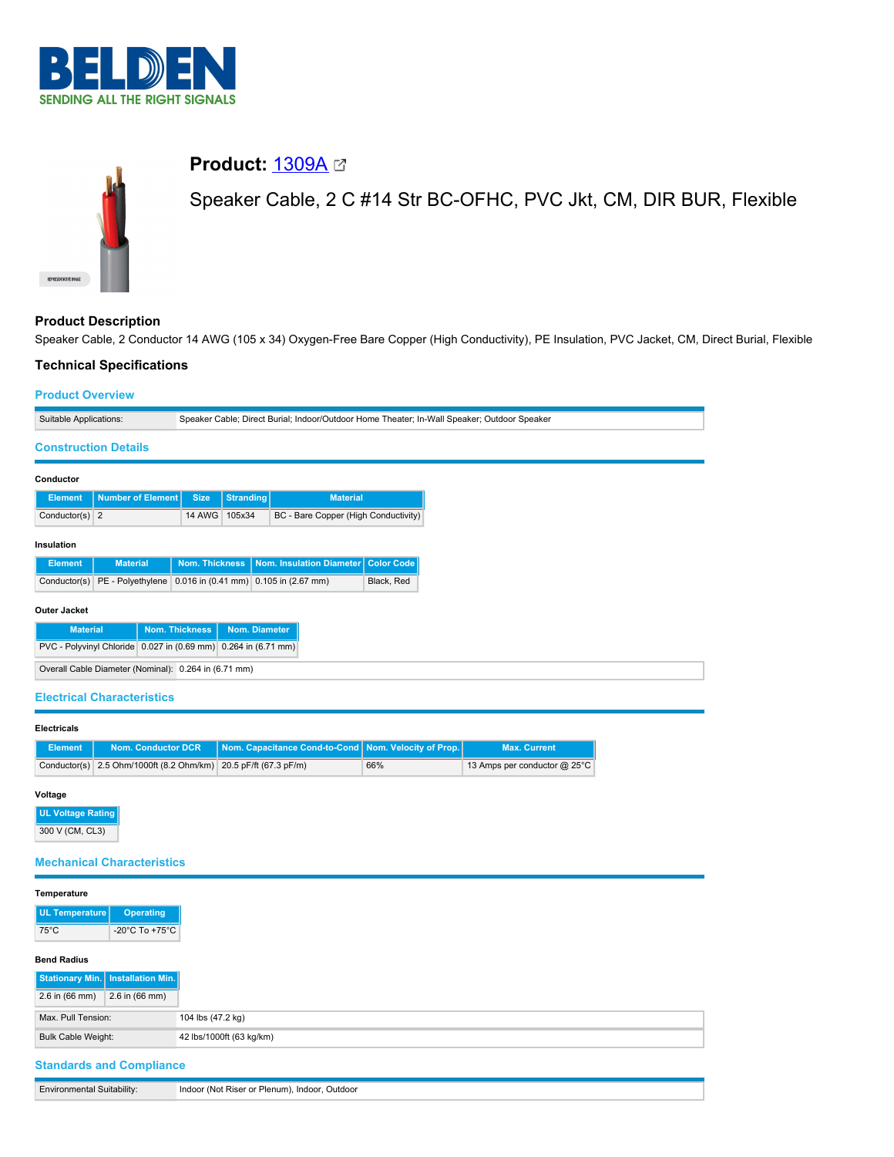



# **Product Description**

Speaker Cable, 2 Conductor 14 AWG (105 x 34) Oxygen-Free Bare Copper (High Conductivity), PE Insulation, PVC Jacket, CM, Direct Burial, Flexible

# **Technical Specifications**

## **Product Overview**

| Speaker Cable; Direct Burial; Indoor/Outdoor Home Theater; In-Wall Speaker; Outdoor Speaker<br>Suitable Applications: |                                   |                |           |                                                           |                   |
|-----------------------------------------------------------------------------------------------------------------------|-----------------------------------|----------------|-----------|-----------------------------------------------------------|-------------------|
| <b>Construction Details</b>                                                                                           |                                   |                |           |                                                           |                   |
| Conductor                                                                                                             |                                   |                |           |                                                           |                   |
| <b>Element</b>                                                                                                        | <b>Number of Element</b>          | <b>Size</b>    | Stranding | <b>Material</b>                                           |                   |
| Conductor(s) $2$                                                                                                      |                                   | 14 AWG         | 105x34    | BC - Bare Copper (High Conductivity)                      |                   |
| Insulation                                                                                                            |                                   |                |           |                                                           |                   |
| <b>Element</b>                                                                                                        | <b>Material</b>                   | Nom. Thickness |           | Nom. Insulation Diameter                                  | <b>Color Code</b> |
| Conductor(s)                                                                                                          | PE - Polyethylene                 |                |           | 0.016 in $(0.41 \text{ mm})$ 0.105 in $(2.67 \text{ mm})$ | Black, Red        |
| <b>Outer Jacket</b>                                                                                                   |                                   |                |           |                                                           |                   |
| <b>Nom. Thickness</b><br>Nom. Diameter<br><b>Material</b>                                                             |                                   |                |           |                                                           |                   |
| PVC - Polyvinyl Chloride 0.027 in (0.69 mm) 0.264 in (6.71 mm)                                                        |                                   |                |           |                                                           |                   |
| Overall Cable Diameter (Nominal): 0.264 in (6.71 mm)                                                                  |                                   |                |           |                                                           |                   |
|                                                                                                                       | <b>Electrical Characteristics</b> |                |           |                                                           |                   |

#### **Electricals**

| Element |                                                                 | Nom. Conductor DCR Nom. Capacitance Cond-to-Cond Nom. Velocity of Prop. |     | <b>Max. Current</b>          |
|---------|-----------------------------------------------------------------|-------------------------------------------------------------------------|-----|------------------------------|
|         | Conductor(s) 2.5 Ohm/1000ft (8.2 Ohm/km) 20.5 pF/ft (67.3 pF/m) |                                                                         | 66% | 13 Amps per conductor @ 25°C |

# **Voltage**

**UL Voltage Rating** 300 V (CM, CL3)

# **Mechanical Characteristics**

### **Temperature**

| UL Temperature | <b>Operating</b>                     |
|----------------|--------------------------------------|
| 75°C           | -20 $^{\circ}$ C To +75 $^{\circ}$ C |

#### **Bend Radius**

|                           | Stationary Min.   Installation Min. |  |  |
|---------------------------|-------------------------------------|--|--|
| $2.6$ in (66 mm)          | 2.6 in (66 mm)                      |  |  |
| Max, Pull Tension:        |                                     |  |  |
| Bulk Cable Weight:        |                                     |  |  |
| Chandovalo and Compliance |                                     |  |  |

# **Standards and Compliance**

| <b>Environmental Suitability:</b> | Indoor (Not Riser or Plenum), Indoor, Outdoor |
|-----------------------------------|-----------------------------------------------|
|                                   |                                               |